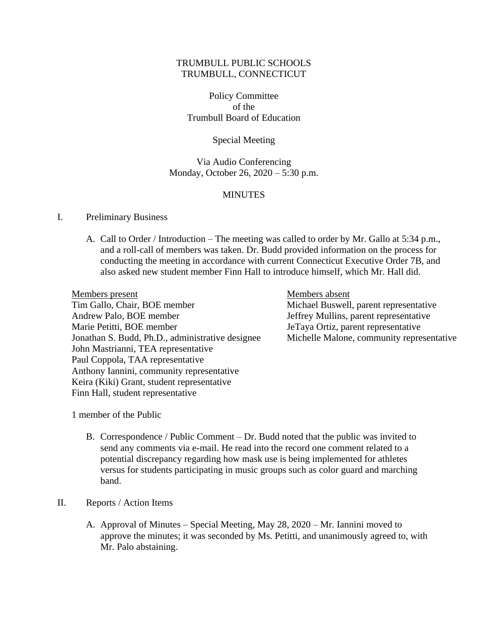## TRUMBULL PUBLIC SCHOOLS TRUMBULL, CONNECTICUT

Policy Committee of the Trumbull Board of Education

Special Meeting

Via Audio Conferencing Monday, October 26, 2020 – 5:30 p.m.

## **MINUTES**

### I. Preliminary Business

A. Call to Order / Introduction – The meeting was called to order by Mr. Gallo at 5:34 p.m., and a roll-call of members was taken. Dr. Budd provided information on the process for conducting the meeting in accordance with current Connecticut Executive Order 7B, and also asked new student member Finn Hall to introduce himself, which Mr. Hall did.

Members present Members absent Tim Gallo, Chair, BOE member Michael Buswell, parent representative Andrew Palo, BOE member Jeffrey Mullins, parent representative Marie Petitti, BOE member JeTaya Ortiz, parent representative Jonathan S. Budd, Ph.D., administrative designee Michelle Malone, community representative John Mastrianni, TEA representative Paul Coppola, TAA representative Anthony Iannini, community representative Keira (Kiki) Grant, student representative Finn Hall, student representative

1 member of the Public

B. Correspondence / Public Comment – Dr. Budd noted that the public was invited to send any comments via e-mail. He read into the record one comment related to a potential discrepancy regarding how mask use is being implemented for athletes versus for students participating in music groups such as color guard and marching band.

### II. Reports / Action Items

A. Approval of Minutes – Special Meeting, May 28, 2020 – Mr. Iannini moved to approve the minutes; it was seconded by Ms. Petitti, and unanimously agreed to, with Mr. Palo abstaining.